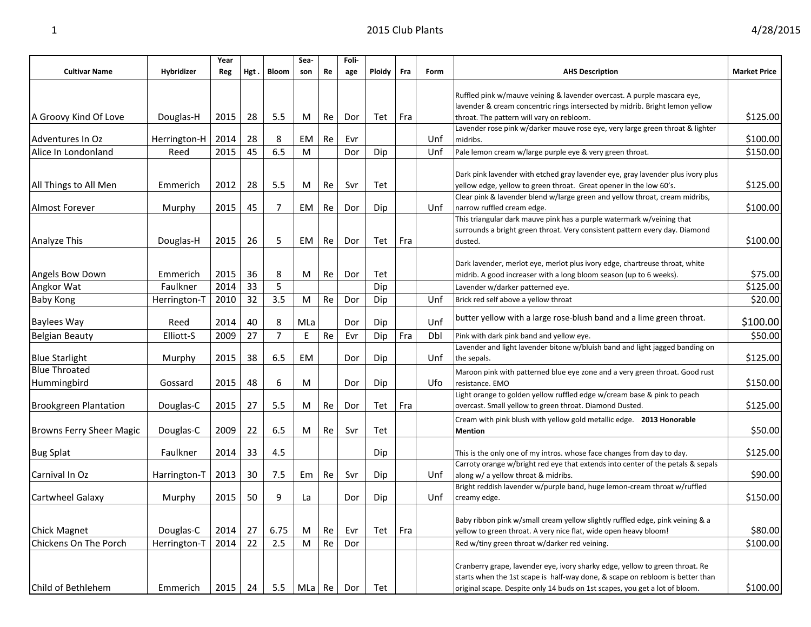| <b>T</b>             | 2015 Club Plants |             |      |       |             |    |              |        |     |      |                        |                     |  |  |
|----------------------|------------------|-------------|------|-------|-------------|----|--------------|--------|-----|------|------------------------|---------------------|--|--|
| <b>Cultivar Name</b> | Hybridizer       | Year<br>Reg | Hgt. | Bloom | Sea-<br>son | Re | Foli-<br>age | Ploidy | Fra | Form | <b>AHS Description</b> | <b>Market Price</b> |  |  |

|                                 |              | Year |      |       | Sea-                   |    | Foli- |               |     |      |                                                                                           |                     |
|---------------------------------|--------------|------|------|-------|------------------------|----|-------|---------------|-----|------|-------------------------------------------------------------------------------------------|---------------------|
| <b>Cultivar Name</b>            | Hybridizer   | Reg  | Hgt. | Bloom | son                    | Re | age   | <b>Ploidy</b> | Fra | Form | <b>AHS Description</b>                                                                    | <b>Market Price</b> |
|                                 |              |      |      |       |                        |    |       |               |     |      |                                                                                           |                     |
|                                 |              |      |      |       |                        |    |       |               |     |      | Ruffled pink w/mauve veining & lavender overcast. A purple mascara eye,                   |                     |
|                                 |              |      |      |       |                        |    |       |               |     |      | lavender & cream concentric rings intersected by midrib. Bright lemon yellow              |                     |
| A Groovy Kind Of Love           | Douglas-H    | 2015 | 28   | 5.5   | M                      | Re | Dor   | Tet           | Fra |      | throat. The pattern will vary on rebloom.                                                 | \$125.00            |
| Adventures In Oz                | Herrington-H | 2014 | 28   | 8     | EM                     | Re | Evr   |               |     | Unf  | Lavender rose pink w/darker mauve rose eye, very large green throat & lighter<br>midribs. | \$100.00            |
| Alice In Londonland             | Reed         | 2015 | 45   | 6.5   | M                      |    | Dor   | Dip           |     | Unf  | Pale lemon cream w/large purple eye & very green throat.                                  | \$150.00            |
|                                 |              |      |      |       |                        |    |       |               |     |      |                                                                                           |                     |
|                                 |              |      |      |       |                        |    |       |               |     |      | Dark pink lavender with etched gray lavender eye, gray lavender plus ivory plus           |                     |
| All Things to All Men           | Emmerich     | 2012 | 28   | 5.5   | M                      | Re | Svr   | Tet           |     |      | yellow edge, yellow to green throat. Great opener in the low 60's.                        | \$125.00            |
|                                 |              |      |      |       |                        |    |       |               |     |      | Clear pink & lavender blend w/large green and yellow throat, cream midribs,               |                     |
| Almost Forever                  | Murphy       | 2015 | 45   | 7     | EM                     | Re | Dor   | Dip           |     | Unf  | narrow ruffled cream edge.                                                                | \$100.00            |
|                                 |              |      |      |       |                        |    |       |               |     |      | This triangular dark mauve pink has a purple watermark w/veining that                     |                     |
|                                 |              |      |      |       |                        |    |       |               |     |      | surrounds a bright green throat. Very consistent pattern every day. Diamond               |                     |
| Analyze This                    | Douglas-H    | 2015 | 26   | 5     | EM                     | Re | Dor   | Tet           | Fra |      | dusted.                                                                                   | \$100.00            |
|                                 |              |      |      |       |                        |    |       |               |     |      |                                                                                           |                     |
|                                 |              |      |      |       |                        |    |       |               |     |      | Dark lavender, merlot eye, merlot plus ivory edge, chartreuse throat, white               |                     |
| Angels Bow Down                 | Emmerich     | 2015 | 36   | 8     | M                      | Re | Dor   | Tet           |     |      | midrib. A good increaser with a long bloom season (up to 6 weeks).                        | \$75.00             |
| Angkor Wat                      | Faulkner     | 2014 | 33   | 5     |                        |    |       | Dip           |     |      | Lavender w/darker patterned eye.                                                          | \$125.00            |
| <b>Baby Kong</b>                | Herrington-T | 2010 | 32   | 3.5   | M                      | Re | Dor   | Dip           |     | Unf  | Brick red self above a yellow throat                                                      | \$20.00             |
| <b>Baylees Way</b>              | Reed         | 2014 | 40   | 8     | MLa                    |    | Dor   | Dip           |     | Unf  | butter yellow with a large rose-blush band and a lime green throat.                       | \$100.00            |
| <b>Belgian Beauty</b>           | Elliott-S    | 2009 | 27   | 7     | E                      | Re | Evr   | Dip           | Fra | Dbl  | Pink with dark pink band and yellow eye.                                                  | \$50.00             |
|                                 |              |      |      |       |                        |    |       |               |     |      | Lavender and light lavender bitone w/bluish band and light jagged banding on              |                     |
| <b>Blue Starlight</b>           | Murphy       | 2015 | 38   | 6.5   | EM                     |    | Dor   | Dip           |     | Unf  | the sepals.                                                                               | \$125.00            |
| <b>Blue Throated</b>            |              |      |      |       |                        |    |       |               |     |      | Maroon pink with patterned blue eye zone and a very green throat. Good rust               |                     |
| Hummingbird                     | Gossard      | 2015 | 48   | 6     | M                      |    | Dor   | Dip           |     | Ufo  | resistance. EMO                                                                           | \$150.00            |
|                                 |              |      |      |       |                        |    |       |               |     |      | Light orange to golden yellow ruffled edge w/cream base & pink to peach                   |                     |
| <b>Brookgreen Plantation</b>    | Douglas-C    | 2015 | 27   | 5.5   | M                      | Re | Dor   | Tet           | Fra |      | overcast. Small yellow to green throat. Diamond Dusted.                                   | \$125.00            |
|                                 |              |      |      |       |                        |    |       |               |     |      | Cream with pink blush with yellow gold metallic edge. 2013 Honorable                      |                     |
| <b>Browns Ferry Sheer Magic</b> | Douglas-C    | 2009 | 22   | 6.5   | M                      | Re | Svr   | Tet           |     |      | <b>Mention</b>                                                                            | \$50.00             |
|                                 |              |      |      |       |                        |    |       |               |     |      |                                                                                           |                     |
| <b>Bug Splat</b>                | Faulkner     | 2014 | 33   | 4.5   |                        |    |       | Dip           |     |      | This is the only one of my intros. whose face changes from day to day.                    | \$125.00            |
| Carnival In Oz                  |              |      |      |       |                        |    |       |               |     |      | Carroty orange w/bright red eye that extends into center of the petals & sepals           |                     |
|                                 | Harrington-T | 2013 | 30   | 7.5   | Em                     | Re | Svr   | Dip           |     | Unf  | along w/ a yellow throat & midribs.                                                       | \$90.00             |
| Cartwheel Galaxy                | Murphy       | 2015 | 50   | 9     | La                     |    | Dor   | Dip           |     | Unf  | Bright reddish lavender w/purple band, huge lemon-cream throat w/ruffled<br>creamy edge.  | \$150.00            |
|                                 |              |      |      |       |                        |    |       |               |     |      |                                                                                           |                     |
|                                 |              |      |      |       |                        |    |       |               |     |      | Baby ribbon pink w/small cream yellow slightly ruffled edge, pink veining & a             |                     |
| <b>Chick Magnet</b>             | Douglas-C    | 2014 | 27   | 6.75  | M                      | Re | Evr   | Tet           | Fra |      | yellow to green throat. A very nice flat, wide open heavy bloom!                          | \$80.00             |
| Chickens On The Porch           | Herrington-T | 2014 | 22   | 2.5   | ${\sf M}$              | Re | Dor   |               |     |      | Red w/tiny green throat w/darker red veining.                                             | \$100.00            |
|                                 |              |      |      |       |                        |    |       |               |     |      |                                                                                           |                     |
|                                 |              |      |      |       |                        |    |       |               |     |      | Cranberry grape, lavender eye, ivory sharky edge, yellow to green throat. Re              |                     |
|                                 |              |      |      |       |                        |    |       |               |     |      | starts when the 1st scape is half-way done, & scape on rebloom is better than             |                     |
| Child of Bethlehem              | Emmerich     | 2015 | 24   | 5.5   | MLa $\vert$ Re $\vert$ |    | Dor   | Tet           |     |      | original scape. Despite only 14 buds on 1st scapes, you get a lot of bloom.               | \$100.00            |

Г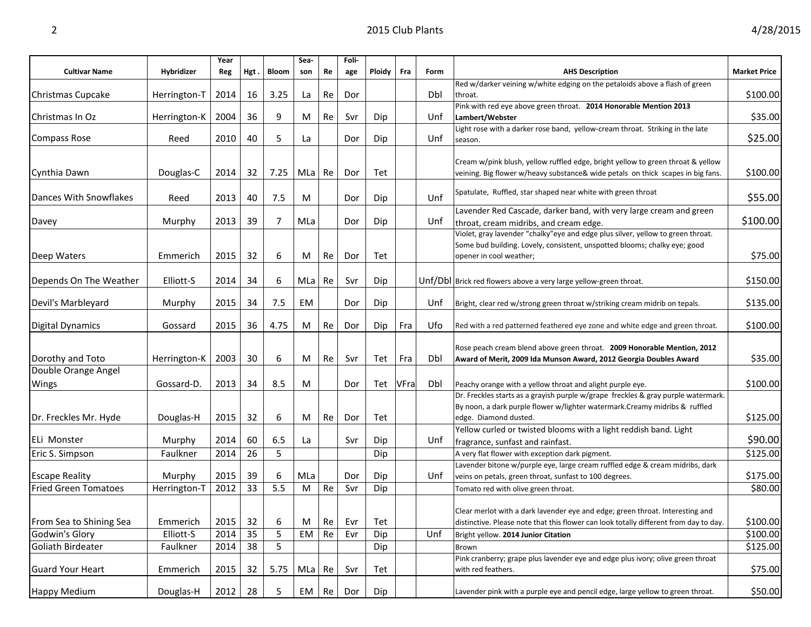|                             |              | Year |      |       | Sea- |    | Foli- |        |      |      |                                                                                       |                     |
|-----------------------------|--------------|------|------|-------|------|----|-------|--------|------|------|---------------------------------------------------------------------------------------|---------------------|
| <b>Cultivar Name</b>        | Hybridizer   | Reg  | Hgt. | Bloom | son  | Re | age   | Ploidy | Fra  | Form | <b>AHS Description</b>                                                                | <b>Market Price</b> |
|                             |              |      |      |       |      |    |       |        |      |      | Red w/darker veining w/white edging on the petaloids above a flash of green           |                     |
| Christmas Cupcake           | Herrington-T | 2014 | 16   | 3.25  | La   | Re | Dor   |        |      | Dbl  | throat.                                                                               | \$100.00            |
|                             |              |      |      |       |      |    |       |        |      |      | Pink with red eye above green throat. 2014 Honorable Mention 2013                     |                     |
| Christmas In Oz             | Herrington-K | 2004 | 36   | 9     | M    | Re | Svr   | Dip    |      | Unf  | Lambert/Webster                                                                       | \$35.00             |
|                             |              |      |      |       |      |    |       |        |      |      | Light rose with a darker rose band, yellow-cream throat. Striking in the late         |                     |
| <b>Compass Rose</b>         | Reed         | 2010 | 40   | 5     | La   |    | Dor   | Dip    |      | Unf  | season.                                                                               | \$25.00             |
|                             |              |      |      |       |      |    |       |        |      |      |                                                                                       |                     |
|                             |              |      |      |       |      |    |       |        |      |      | Cream w/pink blush, yellow ruffled edge, bright yellow to green throat & yellow       |                     |
| Cynthia Dawn                | Douglas-C    | 2014 | 32   | 7.25  | MLa  | Re | Dor   | Tet    |      |      | veining. Big flower w/heavy substance& wide petals on thick scapes in big fans.       | \$100.00            |
|                             |              |      |      |       |      |    |       |        |      |      | Spatulate, Ruffled, star shaped near white with green throat                          |                     |
| Dances With Snowflakes      | Reed         | 2013 | 40   | 7.5   | M    |    | Dor   | Dip    |      | Unf  |                                                                                       | \$55.00             |
|                             |              |      |      |       |      |    |       |        |      |      | Lavender Red Cascade, darker band, with very large cream and green                    |                     |
| Davey                       | Murphy       | 2013 | 39   | 7     | MLa  |    | Dor   | Dip    |      | Unf  | throat, cream midribs, and cream edge.                                                | \$100.00            |
|                             |              |      |      |       |      |    |       |        |      |      | Violet, gray lavender "chalky" eye and edge plus silver, yellow to green throat.      |                     |
|                             |              |      |      |       |      |    |       |        |      |      | Some bud building. Lovely, consistent, unspotted blooms; chalky eye; good             |                     |
| Deep Waters                 | Emmerich     | 2015 | 32   | 6     | M    | Re | Dor   | Tet    |      |      | opener in cool weather;                                                               | \$75.00             |
|                             |              |      |      |       |      |    |       |        |      |      |                                                                                       |                     |
| Depends On The Weather      | Elliott-S    | 2014 | 34   | 6     | MLa  | Re | Svr   | Dip    |      |      | Unf/Dbl Brick red flowers above a very large yellow-green throat.                     | \$150.00            |
|                             |              |      |      |       |      |    |       |        |      |      |                                                                                       |                     |
| Devil's Marbleyard          | Murphy       | 2015 | 34   | 7.5   | EM   |    | Dor   | Dip    |      | Unf  | Bright, clear red w/strong green throat w/striking cream midrib on tepals.            | \$135.00            |
|                             |              |      |      |       |      |    |       |        |      |      |                                                                                       |                     |
| <b>Digital Dynamics</b>     | Gossard      | 2015 | 36   | 4.75  | M    | Re | Dor   | Dip    | Fra  | Ufo  | Red with a red patterned feathered eye zone and white edge and green throat.          | \$100.00            |
|                             |              |      |      |       |      |    |       |        |      |      |                                                                                       |                     |
|                             |              |      |      |       |      |    |       |        |      |      | Rose peach cream blend above green throat. 2009 Honorable Mention, 2012               |                     |
| Dorothy and Toto            | Herrington-K | 2003 | 30   | 6     | M    | Re | Svr   | Tet    | Fra  | Dbl  | Award of Merit, 2009 Ida Munson Award, 2012 Georgia Doubles Award                     | \$35.00             |
| Double Orange Angel         |              |      |      |       |      |    |       |        |      |      |                                                                                       |                     |
| Wings                       | Gossard-D.   | 2013 | 34   | 8.5   | М    |    | Dor   | Tet    | VFra | Dbl  | Peachy orange with a yellow throat and alight purple eye.                             | \$100.00            |
|                             |              |      |      |       |      |    |       |        |      |      | Dr. Freckles starts as a grayish purple w/grape freckles & gray purple watermark.     |                     |
|                             |              |      |      |       |      |    |       |        |      |      | By noon, a dark purple flower w/lighter watermark. Creamy midribs & ruffled           |                     |
| Dr. Freckles Mr. Hyde       | Douglas-H    | 2015 | 32   | 6     | M    | Re | Dor   | Tet    |      |      | edge. Diamond dusted.                                                                 | \$125.00            |
|                             |              |      |      |       |      |    |       |        |      |      | Yellow curled or twisted blooms with a light reddish band. Light                      |                     |
| ELi Monster                 | Murphy       | 2014 | 60   | 6.5   | La   |    | Svr   | Dip    |      | Unf  | fragrance, sunfast and rainfast.                                                      | \$90.00             |
| Eric S. Simpson             | Faulkner     | 2014 | 26   | 5     |      |    |       | Dip    |      |      | A very flat flower with exception dark pigment.                                       | \$125.00            |
|                             |              |      |      |       |      |    |       |        |      |      | Lavender bitone w/purple eye, large cream ruffled edge & cream midribs, dark          |                     |
| <b>Escape Reality</b>       | Murphy       | 2015 | 39   | 6     | MLa  |    | Dor   | Dip    |      | Unf  | veins on petals, green throat, sunfast to 100 degrees.                                | \$175.00            |
| <b>Fried Green Tomatoes</b> | Herrington-T | 2012 | 33   | 5.5   | M    | Re | Svr   | Dip    |      |      | Tomato red with olive green throat.                                                   | \$80.00             |
|                             |              |      |      |       |      |    |       |        |      |      |                                                                                       |                     |
|                             |              |      |      |       |      |    |       |        |      |      | Clear merlot with a dark lavender eye and edge; green throat. Interesting and         |                     |
| From Sea to Shining Sea     | Emmerich     | 2015 | 32   | 6     | M    | Re | Evr   | Tet    |      |      | distinctive. Please note that this flower can look totally different from day to day. | \$100.00            |
| Godwin's Glory              | Elliott-S    | 2014 | 35   | 5     | EM   | Re | Evr   | Dip    |      | Unf  | Bright yellow. 2014 Junior Citation                                                   | \$100.00            |
| Goliath Birdeater           | Faulkner     | 2014 | 38   | 5     |      |    |       | Dip    |      |      | Brown                                                                                 | \$125.00            |
|                             |              |      |      |       |      |    |       |        |      |      | Pink cranberry; grape plus lavender eye and edge plus ivory; olive green throat       |                     |
| <b>Guard Your Heart</b>     | Emmerich     | 2015 | 32   | 5.75  | MLa  | Re | Svr   | Tet    |      |      | with red feathers.                                                                    | \$75.00             |
|                             |              |      |      |       |      |    |       |        |      |      |                                                                                       |                     |
| Happy Medium                | Douglas-H    | 2012 | 28   | 5     | EM   | Re | Dor   | Dip    |      |      | Lavender pink with a purple eye and pencil edge, large yellow to green throat.        | \$50.00             |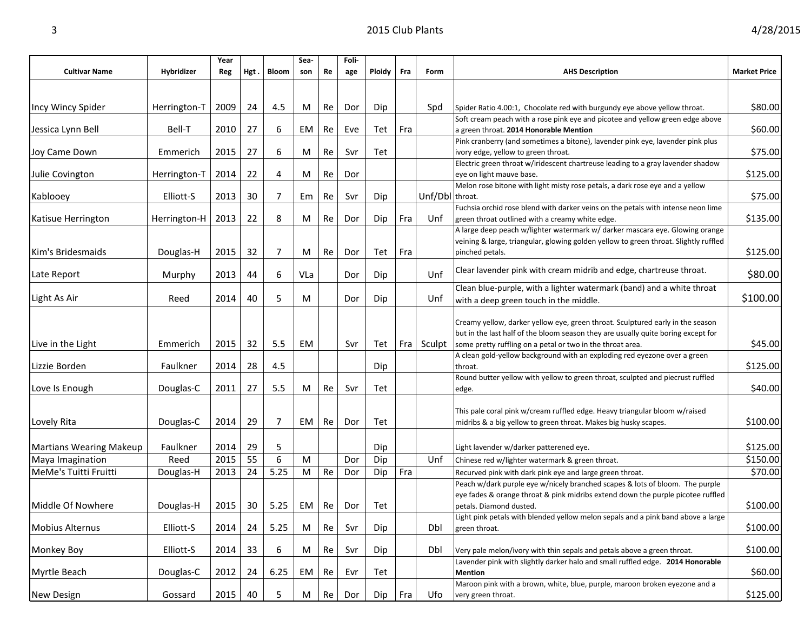| <b>Cultivar Name</b>    | Hybridizer   | Year<br>Reg | Hgt. | <b>Bloom</b>   | Sea-<br>son | Re | Foli-<br>age | Ploidy | Fra | Form            | <b>AHS Description</b>                                                                                                                  | <b>Market Price</b> |
|-------------------------|--------------|-------------|------|----------------|-------------|----|--------------|--------|-----|-----------------|-----------------------------------------------------------------------------------------------------------------------------------------|---------------------|
|                         |              |             |      |                |             |    |              |        |     |                 |                                                                                                                                         |                     |
|                         |              |             |      |                |             |    |              |        |     |                 |                                                                                                                                         |                     |
| Incy Wincy Spider       | Herrington-T | 2009        | 24   | 4.5            | М           | Re | Dor          | Dip    |     | Spd             | Spider Ratio 4.00:1, Chocolate red with burgundy eye above yellow throat.                                                               | \$80.00             |
| Jessica Lynn Bell       | Bell-T       | 2010        | 27   | 6              | EМ          | Re | Eve          | Tet    | Fra |                 | Soft cream peach with a rose pink eye and picotee and yellow green edge above<br>a green throat. 2014 Honorable Mention                 | \$60.00             |
|                         |              |             |      |                |             |    |              |        |     |                 | Pink cranberry (and sometimes a bitone), lavender pink eye, lavender pink plus                                                          |                     |
| Joy Came Down           | Emmerich     | 2015        | 27   | 6              | M           | Re | Svr          | Tet    |     |                 | ivory edge, yellow to green throat.                                                                                                     | \$75.00             |
|                         |              |             |      |                |             |    |              |        |     |                 | Electric green throat w/iridescent chartreuse leading to a gray lavender shadow                                                         |                     |
| Julie Covington         | Herrington-T | 2014        | 22   | 4              | M           | Re | Dor          |        |     |                 | eye on light mauve base.                                                                                                                | \$125.00            |
|                         |              |             |      |                |             |    |              |        |     |                 | Melon rose bitone with light misty rose petals, a dark rose eye and a yellow                                                            |                     |
| Kablooey                | Elliott-S    | 2013        | 30   | 7              | Em          | Re | Svr          | Dip    |     | Unf/Dbl throat. |                                                                                                                                         | \$75.00             |
| Katisue Herrington      | Herrington-H | 2013        | 22   | 8              | М           | Re | Dor          | Dip    | Fra | Unf             | Fuchsia orchid rose blend with darker veins on the petals with intense neon lime<br>green throat outlined with a creamy white edge.     | \$135.00            |
|                         |              |             |      |                |             |    |              |        |     |                 | A large deep peach w/lighter watermark w/ darker mascara eye. Glowing orange                                                            |                     |
|                         |              |             |      |                |             |    |              |        |     |                 | veining & large, triangular, glowing golden yellow to green throat. Slightly ruffled                                                    |                     |
| Kim's Bridesmaids       | Douglas-H    | 2015        | 32   | 7              | M           | Re | Dor          | Tet    | Fra |                 | pinched petals.                                                                                                                         | \$125.00            |
|                         |              |             |      |                |             |    |              |        |     |                 |                                                                                                                                         |                     |
| Late Report             | Murphy       | 2013        | 44   | 6              | VLa         |    | Dor          | Dip    |     | Unf             | Clear lavender pink with cream midrib and edge, chartreuse throat.                                                                      | \$80.00             |
|                         |              |             |      |                |             |    |              |        |     |                 | Clean blue-purple, with a lighter watermark (band) and a white throat                                                                   |                     |
| Light As Air            | Reed         | 2014        | 40   | 5              | M           |    | Dor          | Dip    |     | Unf             | with a deep green touch in the middle.                                                                                                  | \$100.00            |
|                         |              |             |      |                |             |    |              |        |     |                 |                                                                                                                                         |                     |
|                         |              |             |      |                |             |    |              |        |     |                 | Creamy yellow, darker yellow eye, green throat. Sculptured early in the season                                                          |                     |
|                         |              |             |      | 5.5            |             |    | Svr          |        |     |                 | but in the last half of the bloom season they are usually quite boring except for                                                       | \$45.00             |
| Live in the Light       | Emmerich     | 2015        | 32   |                | EМ          |    |              | Tet    |     | Fra   Sculpt    | some pretty ruffling on a petal or two in the throat area.<br>A clean gold-yellow background with an exploding red eyezone over a green |                     |
| Lizzie Borden           | Faulkner     | 2014        | 28   | 4.5            |             |    |              | Dip    |     |                 | throat.                                                                                                                                 | \$125.00            |
|                         |              |             |      |                |             |    |              |        |     |                 | Round butter yellow with yellow to green throat, sculpted and piecrust ruffled                                                          |                     |
| Love Is Enough          | Douglas-C    | 2011        | 27   | 5.5            | М           | Re | Svr          | Tet    |     |                 | edge.                                                                                                                                   | \$40.00             |
|                         |              |             |      |                |             |    |              |        |     |                 |                                                                                                                                         |                     |
|                         |              |             |      |                |             |    |              |        |     |                 | This pale coral pink w/cream ruffled edge. Heavy triangular bloom w/raised                                                              |                     |
| Lovely Rita             | Douglas-C    | 2014        | 29   | $\overline{7}$ | EM          | Re | Dor          | Tet    |     |                 | midribs & a big yellow to green throat. Makes big husky scapes.                                                                         | \$100.00            |
|                         |              |             |      |                |             |    |              |        |     |                 |                                                                                                                                         |                     |
| Martians Wearing Makeup | Faulkner     | 2014        | 29   | 5              |             |    |              | Dip    |     |                 | Light lavender w/darker patterened eye.                                                                                                 | \$125.00            |
| Maya Imagination        | Reed         | 2015        | 55   | 6              | M           |    | Dor          | Dip    |     | Unf             | Chinese red w/lighter watermark & green throat.                                                                                         | \$150.00            |
| MeMe's Tuitti Fruitti   | Douglas-H    | 2013        | 24   | 5.25           | М           | Re | Dor          | Dip    | Fra |                 | Recurved pink with dark pink eye and large green throat.                                                                                | \$70.00             |
|                         |              |             |      |                |             |    |              |        |     |                 | Peach w/dark purple eye w/nicely branched scapes & lots of bloom. The purple                                                            |                     |
| Middle Of Nowhere       | Douglas-H    | 2015        | 30   | 5.25           | EM          | Re | Dor          | Tet    |     |                 | eye fades & orange throat & pink midribs extend down the purple picotee ruffled<br>petals. Diamond dusted.                              | \$100.00            |
|                         |              |             |      |                |             |    |              |        |     |                 | Light pink petals with blended yellow melon sepals and a pink band above a large                                                        |                     |
| Mobius Alternus         | Elliott-S    | 2014        | 24   | 5.25           | M           | Re | Svr          | Dip    |     | Dbl             | green throat.                                                                                                                           | \$100.00            |
|                         |              |             |      |                |             |    |              |        |     |                 |                                                                                                                                         |                     |
| Monkey Boy              | Elliott-S    | 2014        | 33   | 6              | М           | Re | Svr          | Dip    |     | Dbl             | Very pale melon/ivory with thin sepals and petals above a green throat.                                                                 | \$100.00            |
|                         |              |             |      |                |             |    |              |        |     |                 | Lavender pink with slightly darker halo and small ruffled edge. 2014 Honorable                                                          |                     |
| Myrtle Beach            | Douglas-C    | 2012        | 24   | 6.25           | EM          | Re | Evr          | Tet    |     |                 | <b>Mention</b>                                                                                                                          | \$60.00             |
|                         |              |             |      |                |             |    |              |        |     |                 | Maroon pink with a brown, white, blue, purple, maroon broken eyezone and a                                                              |                     |

New Design Gossard 2015 40 5 M Re Dor Dip Fra Ufo very green throat. \$125.00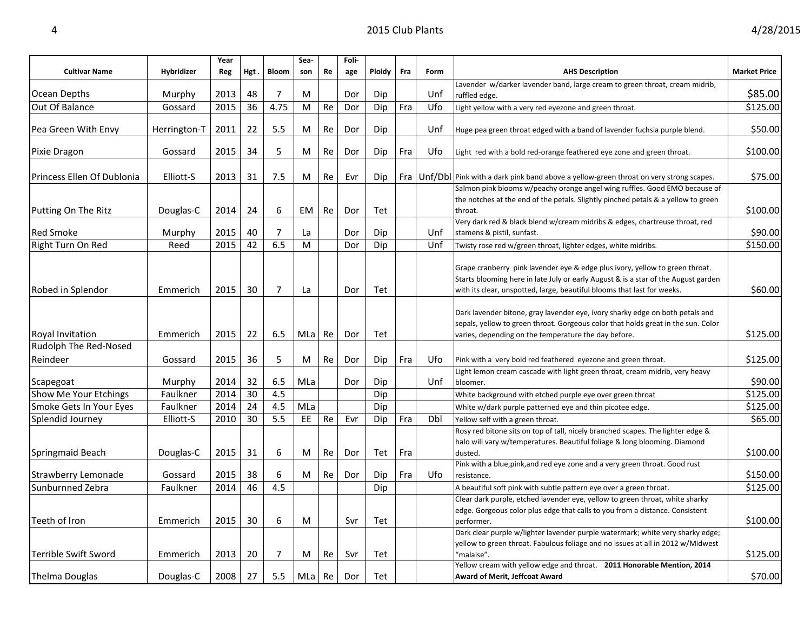|                                                  |              | Year |      |                | Sea- |        | Foli- |        |     |      |                                                                                                                                                                                                                                               |                     |
|--------------------------------------------------|--------------|------|------|----------------|------|--------|-------|--------|-----|------|-----------------------------------------------------------------------------------------------------------------------------------------------------------------------------------------------------------------------------------------------|---------------------|
| <b>Cultivar Name</b>                             | Hybridizer   | Reg  | Hgt. | Bloom          | son  | Re     | age   | Ploidy | Fra | Form | <b>AHS Description</b>                                                                                                                                                                                                                        | <b>Market Price</b> |
|                                                  |              |      |      |                |      |        |       |        |     |      | Lavender w/darker lavender band, large cream to green throat, cream midrib,                                                                                                                                                                   |                     |
| Ocean Depths                                     | Murphy       | 2013 | 48   | 7              | M    |        | Dor   | Dip    |     | Unf  | ruffled edge.                                                                                                                                                                                                                                 | \$85.00             |
| Out Of Balance                                   | Gossard      | 2015 | 36   | 4.75           | M    | Re     | Dor   | Dip    | Fra | Ufo  | Light yellow with a very red eyezone and green throat.                                                                                                                                                                                        | \$125.00            |
| Pea Green With Envy                              | Herrington-T | 2011 | 22   | 5.5            | M    | Re     | Dor   | Dip    |     | Unf  | Huge pea green throat edged with a band of lavender fuchsia purple blend.                                                                                                                                                                     | \$50.00             |
| Pixie Dragon                                     | Gossard      | 2015 | 34   | 5              | M    | Re     | Dor   | Dip    | Fra | Ufo  | Light red with a bold red-orange feathered eye zone and green throat.                                                                                                                                                                         | \$100.00            |
| Princess Ellen Of Dublonia                       | Elliott-S    | 2013 | 31   | 7.5            | M    | Re     | Evr   | Dip    |     |      | Fra   Unf/DbI   Pink with a dark pink band above a yellow-green throat on very strong scapes.                                                                                                                                                 | \$75.00             |
| Putting On The Ritz                              | Douglas-C    | 2014 | 24   | 6              | EM   | Re     | Dor   | Tet    |     |      | Salmon pink blooms w/peachy orange angel wing ruffles. Good EMO because of<br>the notches at the end of the petals. Slightly pinched petals & a yellow to green<br>throat.                                                                    | \$100.00            |
| <b>Red Smoke</b>                                 | Murphy       | 2015 | 40   | 7              | La   |        | Dor   | Dip    |     | Unf  | Very dark red & black blend w/cream midribs & edges, chartreuse throat, red<br>stamens & pistil, sunfast.                                                                                                                                     | \$90.00             |
| Right Turn On Red                                | Reed         | 2015 | 42   | 6.5            | M    |        | Dor   | Dip    |     | Unf  | Twisty rose red w/green throat, lighter edges, white midribs.                                                                                                                                                                                 | \$150.00            |
| Robed in Splendor                                | Emmerich     | 2015 | 30   | $\overline{7}$ | La   |        | Dor   | Tet    |     |      | Grape cranberry pink lavender eye & edge plus ivory, yellow to green throat.<br>Starts blooming here in late July or early August & is a star of the August garden<br>with its clear, unspotted, large, beautiful blooms that last for weeks. | \$60.00             |
| <b>Royal Invitation</b><br>Rudolph The Red-Nosed | Emmerich     | 2015 | 22   | 6.5            | MLa  | Re     | Dor   | Tet    |     |      | Dark lavender bitone, gray lavender eye, ivory sharky edge on both petals and<br>sepals, yellow to green throat. Gorgeous color that holds great in the sun. Color<br>varies, depending on the temperature the day before.                    | \$125.00            |
| Reindeer                                         | Gossard      | 2015 | 36   | 5              | M    | Re     | Dor   | Dip    | Fra | Ufo  | Pink with a very bold red feathered eyezone and green throat.                                                                                                                                                                                 | \$125.00            |
|                                                  |              |      |      |                |      |        |       |        |     |      | Light lemon cream cascade with light green throat, cream midrib, very heavy                                                                                                                                                                   |                     |
| Scapegoat                                        | Murphy       | 2014 | 32   | 6.5            | MLa  |        | Dor   | Dip    |     | Unf  | bloomer.                                                                                                                                                                                                                                      | \$90.00             |
| Show Me Your Etchings                            | Faulkner     | 2014 | 30   | 4.5            |      |        |       | Dip    |     |      | White background with etched purple eye over green throat                                                                                                                                                                                     | \$125.00            |
| Smoke Gets In Your Eyes                          | Faulkner     | 2014 | 24   | 4.5            | MLa  |        |       | Dip    |     |      | White w/dark purple patterned eye and thin picotee edge.                                                                                                                                                                                      | \$125.00            |
| Splendid Journey                                 | Elliott-S    | 2010 | 30   | 5.5            | EE   | Re     | Evr   | Dip    | Fra | Dbl  | Yellow self with a green throat.                                                                                                                                                                                                              | \$65.00             |
| Springmaid Beach                                 | Douglas-C    | 2015 | 31   | 6              | M    | Re     | Dor   | Tet    | Fra |      | Rosy red bitone sits on top of tall, nicely branched scapes. The lighter edge &<br>halo will vary w/temperatures. Beautiful foliage & long blooming. Diamond<br>dusted.                                                                       | \$100.00            |
| <b>Strawberry Lemonade</b>                       | Gossard      | 2015 | 38   | 6              | M    | Re     | Dor   | Dip    | Fra | Ufo  | Pink with a blue, pink, and red eye zone and a very green throat. Good rust<br>resistance.                                                                                                                                                    | \$150.00            |
| Sunburnned Zebra                                 | Faulkner     | 2014 | 46   | 4.5            |      |        |       | Dip    |     |      | A beautiful soft pink with subtle pattern eye over a green throat.                                                                                                                                                                            | \$125.00            |
| Teeth of Iron                                    | Emmerich     | 2015 | 30   | 6              | M    |        | Svr   | Tet    |     |      | Clear dark purple, etched lavender eye, yellow to green throat, white sharky<br>edge. Gorgeous color plus edge that calls to you from a distance. Consistent<br>performer.                                                                    | \$100.00            |
| Terrible Swift Sword                             | Emmerich     | 2013 | 20   | 7              | M    | Re     | Svr   | Tet    |     |      | Dark clear purple w/lighter lavender purple watermark; white very sharky edge;<br>yellow to green throat. Fabulous foliage and no issues at all in 2012 w/Midwest<br>"malaise".                                                               | \$125.00            |
| <b>Thelma Douglas</b>                            | Douglas-C    | 2008 | 27   | 5.5            |      | MLa Re | Dor   | Tet    |     |      | Yellow cream with yellow edge and throat. 2011 Honorable Mention, 2014<br>Award of Merit, Jeffcoat Award                                                                                                                                      | \$70.00             |